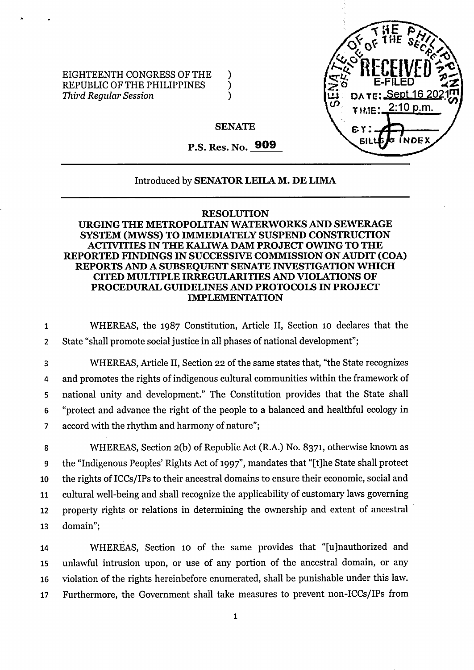

EIGHTEENTH CONGRESS OF THE )<br>REPUBLIC OF THE PHILIPPINES REPUBLIC OF THE PHILIPPINES )<br>Third Reqular Session *Third Regular Session* )

## **SENATE**

P.S. Res. No. **909**

## Introduced by **SENATOR LEILA M. DE LIMA**

## **RESOLUTION**

## **URGING THE METROPOLITAN WATERWORKS AND SEWERAGE SYSTEM (MWSS) TO IMMEDIATELY SUSPEND CONSTRUCTION ACTIVITIES IN THE KALIWA DAM PROJECT OWING TO THE REPORTED FINDINGS IN SUCCESSIVE COMMISSION ON AUDIT (COA) REPORTS AND A SUBSEQUENT SENATE INVESTIGATIONWHICH CITED MULTIPLE IRREGULARITIES AND VIOLATIONS OF PROCEDURAL GUIDELINES AND PROTOCOLS IN PROJECT IMPLEMENTATION**

<sup>1</sup> WHEREAS, the 1987 Constitution, Article II, Section 10 declares that the <sup>2</sup> State "shall promote social justice in all phases of national development";

 WHEREAS, Article II, Section 22 ofthe same states that, "the State recognizes 4 and promotes the rights of indigenous cultural communities within the framework of national unity and development." The Constitution provides that the State shall "protect and advance the right of the people to a balanced and healthful ecology in accord with the rhythm and harmony of nature";

 WHEREAS, Section 2(b) of Republic Act (R.A.) No. 8371, otherwise known as the "Indigenous Peoples' Rights Act of 1997", mandates that "[t]he State shall protect 10 the rights of ICCs/IPs to their ancestral domains to ensure their economic, social and cultural well-being and shall recognize the applicability of customary laws governing property rights or relations in determining the ownership and extent of ancestral 13 domain";

 WHEREAS, Section 10 of the same provides that "[ujnauthorized and unlawful intrusion upon, or use of any portion of the ancestral domain, or any violation of the rights hereinbefore enumerated, shall be punishable under this law. Furthermore, the Government shall take measures to prevent non-ICCs/IPs from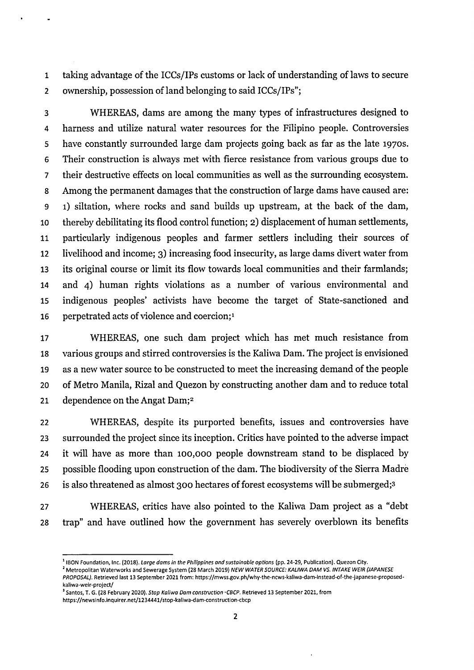taking advantage ofthe ICCs/IPs customs or lack of understanding of laws to secure 2 ownership, possession of land belonging to said ICCs/IPs";

 WHEREAS, dams are among the many types of infrastructures designed to harness and utilize natural water resources for the Filipino people. Controversies have constantly surrounded large dam projects going back as far as the late 1970s. Their construction is always met with fierce resistance from various groups due to their destructive effects on local communities as well as the surrounding ecosystem. 8 Among the permanent damages that the construction of large dams have caused are: 1) siltation, where rocks and sand builds up upstream, at the back of the dam, thereby debilitating its flood control function; 2) displacement of human settlements, particularly indigenous peoples and farmer settlers including their sources of livelihood and income; 3) increasing food insecurity, as large dams divert water from its original course or limit its flow towards local communities and their farmlands; and 4) human rights violations as a number of various environmental and indigenous peoples' activists have become the target of State-sanctioned and 16 perpetrated acts of violence and coercion;<sup>1</sup>

 WHEREAS, one such dam project which has met much resistance from various groups and stirred controversies is the Kaliwa Dam. The project is envisioned as a new water source to be constructed to meet the increasing demand ofthe people of Metro Manila, Rizal and Quezon by constructing another dam and to reduce total dependence on the Angat Dam;2

 WHEREAS, despite its purported benefits, issues and controversies have surrounded the project since its inception. Critics have pointed to the adverse impact it will have as more than 100,000 people downstream stand to be displaced by 25 possible flooding upon construction of the dam. The biodiversity of the Sierra Madre 26 is also threatened as almost 300 hectares of forest ecosystems will be submerged;<sup>3</sup>

 WHEREAS, critics have also pointed to the Kaliwa Dam project as a "debt trap" and have outlined how the government has severely overblown its benefits

<sup>2</sup> Metropolitan Waterworks and Sewerage System (28 March 2019) NEW WATER SOURCE: KALIWA DAM VS. INTAKE WEIR (JAPANESE *PROPOSAL).* **Retrieved last 13 September 2021 from: [https://mwss.gov.ph/why-the-ncws-kaliwa-dam-instead-of-the-japanese-proposed](https://mwss.gov.ph/why-the-ncws-kaliwa-dam-instead-of-the-japanese-proposed-kaliwa-weir-project/)[kaliwa-weir-project/](https://mwss.gov.ph/why-the-ncws-kaliwa-dam-instead-of-the-japanese-proposed-kaliwa-weir-project/)**

<sup>&</sup>lt;sup>1</sup> IBON Foundation, Inc. (2018). Large dams in the Philippines and sustainable options (pp. 24-29, Publication). Quezon City.

 **Santos, T. G. (28 February 2020).** *Stop Kaliwa Dam construction -CBCP.* **Retrieved 13 September 2021, from <https://newsinfo.inquirer.net/1234441/stop-kaliwa-dam-construction-cbcp>**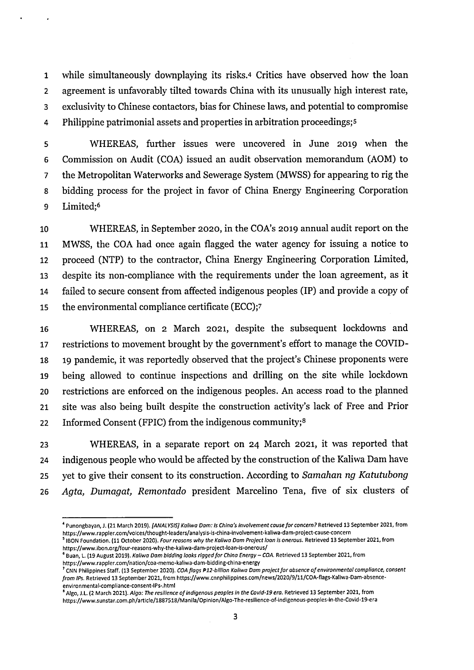while simultaneously downplaying its risks.4 Critics have observed how the loan agreement is unfavorably tilted towards China with its unusually high interest rate, exclusivity to Chinese contactors, bias for Chinese laws, and potential to compromise Philippine patrimonial assets and properties in arbitration proceedings;s

 WHEREAS, further issues were uncovered in June 2019 when the Commission on Audit (COA) issued an audit observation memorandum (AOM) to the Metropolitan Waterworks and Sewerage System (MWSS) for appearing to rig the bidding process for the project in favor of China Energy Engineering Corporation Limited;6

 WHEREAS, in September 2020, in the COA's 2019 annual audit report on the MWSS, the COA had once again flagged the water agency for issuing a notice to proceed (NTP) to the contractor, China Energy Engineering Corporation Limited, despite its non-compliance with the requirements under the loan agreement, as it failed to secure consent from affected indigenous peoples (IP) and provide a copy of the environmental compliance certificate (ECC);7

 WHEREAS, on 2 March 2021, despite the subsequent lockdowns and restrictions to movement brought by the government's effort to manage the COVID- 19 pandemic, it was reportedly observed that the project's Chinese proponents were being allowed to continue inspections and drilling on the site while lockdown restrictions are enforced on the indigenous peoples. An access road to the planned site was also being built despite the construction activity's lack of Free and Prior 22 Informed Consent (FPIC) from the indigenous community;<sup>8</sup>

 WHEREAS, in a separate report on 24 March 2021, it was reported that 24 indigenous people who would be affected by the construction of the Kaliwa Dam have yet to give their consent to its construction. According to *Samahan ng Katutubong Agta, Dumagat, Remontado* president Marcelino Tena, five of six clusters of

<sup>&</sup>lt;sup>4</sup> Punongbayan, J. (21 March 2019). [ANALYSIS] Kaliwa Dam: Is China's involvement cause for concern? Retrieved 13 September 2021, from **<https://www.rappler.com/voices/thought-leaders/analysis-is-china-involvement-kaliwa-dam-project-cause-concern>**

<sup>&</sup>lt;sup>5</sup> IBON Foundation. (11 October 2020). *Four reasons why the Kaliwa Dam Project loan is onerous*. Retrieved 13 September 2021, from **<https://www.ibon.org/four-reasons-why-the-kaiiwa-dam-project-ioan-is-onerous/>**

<sup>&</sup>lt;sup>6</sup> Buan, L. (19 August 2019). *Kaliwa Dam bidding looks rigged for China Energy – COA*. Retrieved 13 September 2021, from **<https://www.rappier.com/nation/coa-memo-kaiiwa-dam-bidding-china-energy>**

<sup>&</sup>lt;sup>7</sup> CNN Philippines Staff. (13 September 2020). COA flags P12-billion Kaliwa Dam project for absence of environmental compliance, consent *from iPs.* **Retrieved 13 September 2021, from [https://www.cnnphiiippines.com/news/2020/9/ll/COA-fiags-Kaiiwa-Dam-absence](https://www.cnnphiiippines.com/news/2020/9/ll/COA-fiags-Kaiiwa-Dam-absence-environmentai-compiiance-consent-iPs-.htmi)[environmentai-compiiance-consent-iPs-.htmi](https://www.cnnphiiippines.com/news/2020/9/ll/COA-fiags-Kaiiwa-Dam-absence-environmentai-compiiance-consent-iPs-.htmi)**

 $^{\rm 8}$  Algo, J.L. (2 March 2021). *Algo: The resilience of indigenous peoples in the Covid-19 era.* Retrieved 13 September 2021, from **<https://www.sunstar.com.ph/articie/1887518/Maniia/Opinion/Aigo-The-resiiience-of-indigenous-peopies-in-the-Covid-19-era>**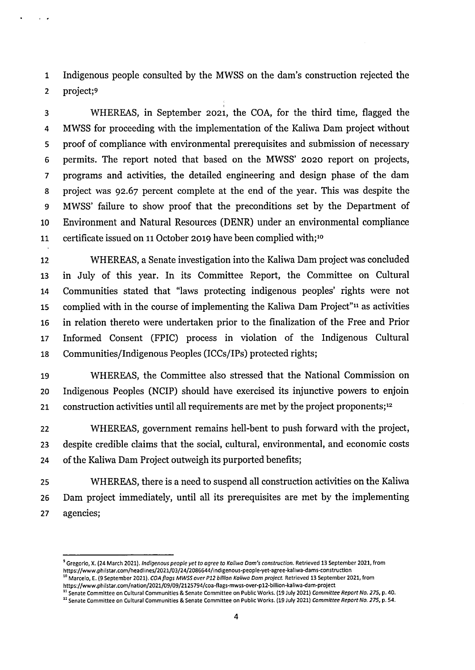Indigenous people consulted by the MWSS on the dam's construction rejected the project;9

 WHEREAS, in September 2021, the COA, for the third time, flagged the MWSS for proceeding with the implementation of the Kaliwa Dam project without proof of compliance with environmental prerequisites and submission of necessary permits. The report noted that based on the MWSS' 2020 report on projects, programs and activities, the detailed engineering and design phase of the dam project was 92.67 percent complete at the end of the year. This was despite the MWSS' failure to show proof that the preconditions set by the Department of Environment and Natural Resources (DENR) under an environmental compliance certificate issued on <sup>11</sup> October 2019 have been complied with;10

 WHEREAS, a Senate investigation into the Kaliwa Dam project was concluded in July of this year. In its Committee Report, the Committee on Cultural Communities stated that "laws protecting indigenous peoples' rights were not complied with in the course of implementing the Kaliwa Dam Project"11 as activities in relation thereto were undertaken prior to the finalization of the Free and Prior Informed Consent (FPIC) process in violation of the Indigenous Cultural Communities/Indigenous Peoples (ICCs/IPs) protected rights;

 WHEREAS, the Committee also stressed that the National Commission on Indigenous Peoples (NCIP) should have exercised its injunctive powers to enjoin 21 construction activities until all requirements are met by the project proponents;<sup>12</sup>

 WHEREAS, government remains hell-bent to push forward with the project, despite credible claims that the social, cultural, environmental, and economic costs 24 of the Kaliwa Dam Project outweigh its purported benefits;

 WHEREAS, there is a need to suspend all construction activities on the Kaliwa Dam project immediately, until all its prerequisites are met by the implementing agencies;

<sup>&</sup>lt;sup>9</sup> Gregorio, X. (24 March 2021). Indigenous people yet to agree to Kaliwa Dam's construction. Retrieved 13 September 2021, from **<https://www.phiistar.eom/headiines/2021/03/24/2086644/indigenous-people-yet-agree-kaliwa-dams-construction>** p<br>Marcelo, E. (9 September 2021). COA flags MWSS over P12 billion Kaliwa Dam project. Retrieved 13 September 2021, from

**<https://www.philstar.eom/nation/2021/09/09/2125794/coa-flags-mwss-over-pl2-biiiion-kaiiwa-dam-project>** <sup>11</sup> Senate Committee on Cultural Communities & Senate Committee on Public Works. (19 July 2021) Committee Report No. 275, p. 40.

<sup>&</sup>lt;sup>12</sup> Senate Committee on Cultural Communities & Senate Committee on Public Works. (19 July 2021) Committee Report No. 275, p. 54.